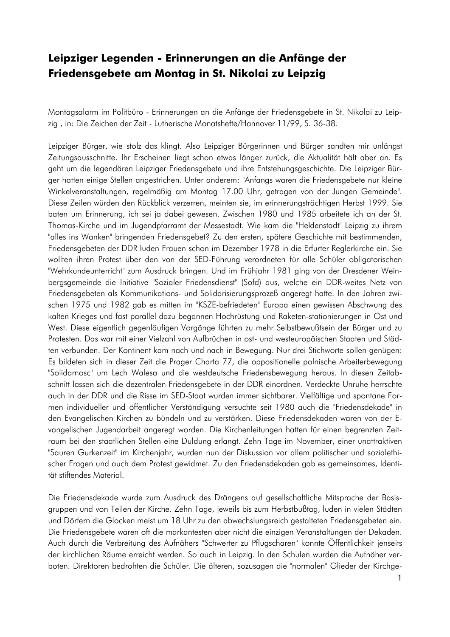## Leipziger Legenden - Erinnerungen an die Anfänge der Friedensgebete am Montag in St. Nikolai zu Leipzig

Montagsalarm im Politbüro - Erinnerungen an die Anfänge der Friedensgebete in St. Nikolai zu Leipzig, in: Die Zeichen der Zeit - Lutherische Monatshefte/Hannover 11/99, S. 36-38.

Leipziger Bürger, wie stolz das klingt. Also Leipziger Bürgerinnen und Bürger sandten mir unlängst Zeitungsausschnitte. Ihr Erscheinen liegt schon etwas länger zurück, die Aktualität hält aber an. Es geht um die legendären Leipziger Friedensgebete und ihre Entstehungsgeschichte. Die Leipziger Bürger hatten einige Stellen angestrichen. Unter anderem: "Anfangs waren die Friedensgebete nur kleine Winkelveranstaltungen, regelmäßig am Montag 17.00 Uhr, getragen von der Jungen Gemeinde". Diese Zeilen würden den Rückblick verzerren, meinten sie, im erinnerungsträchtigen Herbst 1999. Sie baten um Erinneruna, ich sei ja dabei gewesen. Zwischen 1980 und 1985 arbeitete ich an der St. Thomas-Kirche und im Jugendpfarramt der Messestadt. Wie kam die "Heldenstadt" Leipzig zu ihrem "alles ins Wanken" bringenden Friedensgebet? Zu den ersten, spätere Geschichte mit bestimmenden, Friedensgebeten der DDR luden Frauen schon im Dezember 1978 in die Erfurter Reglerkirche ein. Sie wollten ihren Protest über den von der SED-Führung verordneten für alle Schüler obligatorischen "Wehrkundeunterricht" zum Ausdruck bringen. Und im Frühjahr 1981 ging von der Dresdener Weinbergsgemeinde die Initiative "Sozialer Friedensdienst" (Sofd) aus, welche ein DDR-weites Netz von Friedensgebeten als Kommunikations- und Solidarisierungsprozeß angeregt hatte. In den Jahren zwischen 1975 und 1982 gab es mitten im "KSZE-befriedeten" Europa einen gewissen Abschwung des kalten Krieges und fast parallel dazu begannen Hochrüstung und Raketen-stationierungen in Ost und West. Diese eigentlich gegenläufigen Vorgänge führten zu mehr Selbstbewußtsein der Bürger und zu Protesten. Das war mit einer Vielzahl von Aufbrüchen in ost- und westeuropäischen Staaten und Städten verbunden. Der Kontinent kam nach und nach in Bewegung. Nur drei Stichworte sollen genügen: Es bildeten sich in dieser Zeit die Prager Charta 77, die oppositionelle polnische Arbeiterbewegung "Solidarnosc" um Lech Walesa und die westdeutsche Friedensbewegung heraus. In diesen Zeitabschnitt lassen sich die dezentralen Friedensgebete in der DDR einordnen. Verdeckte Unruhe herrschte auch in der DDR und die Risse im SED-Staat wurden immer sichtbarer. Vielfältige und spontane Formen individueller und öffentlicher Verständigung versuchte seit 1980 auch die "Friedensdekade" in den Evangelischen Kirchen zu bündeln und zu verstärken. Diese Friedensdekaden waren von der Evangelischen Jugendarbeit angeregt worden. Die Kirchenleitungen hatten für einen begrenzten Zeitraum bei den staatlichen Stellen eine Duldung erlangt. Zehn Tage im November, einer unattraktiven "Sauren Gurkenzeit" im Kirchenjahr, wurden nun der Diskussion vor allem politischer und sozialethischer Fragen und auch dem Protest gewidmet. Zu den Friedensdekaden gab es gemeinsames, Identität stiftendes Material.

Die Friedensdekade wurde zum Ausdruck des Drängens auf gesellschaftliche Mitsprache der Basisgruppen und von Teilen der Kirche. Zehn Tage, jeweils bis zum Herbstbußtag, luden in vielen Städten und Dörfern die Glocken meist um 18 Uhr zu den abwechslungsreich gestalteten Friedensgebeten ein. Die Friedensgebete waren oft die markantesten aber nicht die einzigen Veranstaltungen der Dekaden. Auch durch die Verbreitung des Aufnähers "Schwerter zu Pflugscharen" konnte Offentlichkeit jenseits der kirchlichen Räume erreicht werden. So auch in Leipzig. In den Schulen wurden die Aufnäher verboten. Direktoren bedrohten die Schüler. Die älteren, sozusagen die "normalen" Glieder der Kirchge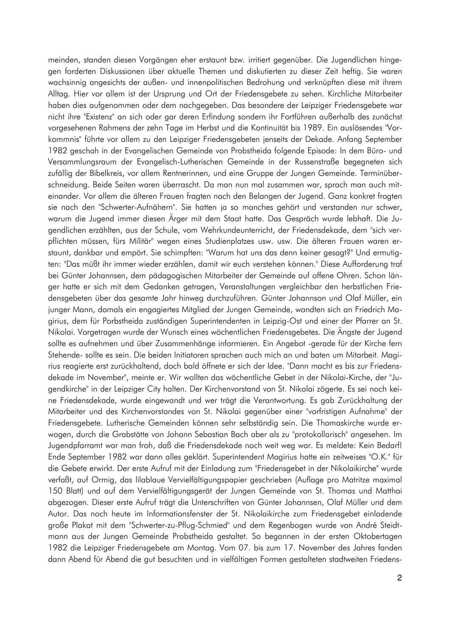meinden, standen diesen Vorgängen eher erstaunt bzw. irritiert gegenüber. Die Jugendlichen hingegen forderten Diskussionen über aktuelle Themen und diskutierten zu dieser Zeit heftig. Sie waren wachsinnig angesichts der außen- und innenpolitischen Bedrohung und verknüpften diese mit ihrem Alltag. Hier vor allem ist der Ursprung und Ort der Friedensgebete zu sehen. Kirchliche Mitarbeiter haben dies aufgenommen oder dem nachgegeben. Das besondere der Leipziger Friedensgebete war nicht ihre "Existenz" an sich oder gar deren Erfindung sondern ihr Fortführen außerhalb des zunächst vorgesehenen Rahmens der zehn Tage im Herbst und die Kontinuität bis 1989. Ein auslösendes "Vorkommnis" führte vor allem zu den Leipziger Friedensgebeten jenseits der Dekade. Anfang September 1982 geschah in der Evangelischen Gemeinde von Probstheida folgende Episode: In dem Büro- und Versammlungsraum der Evangelisch-Lutherischen Gemeinde in der Russenstraße begegneten sich zufällig der Bibelkreis, vor allem Rentnerinnen, und eine Gruppe der Jungen Gemeinde. Terminüberschneidung. Beide Seiten waren überrascht. Da man nun mal zusammen war, sprach man auch miteinander. Vor allem die älteren Frauen fragten nach den Belangen der Jugend. Ganz konkret fragten sie nach den "Schwerter-Aufnähern". Sie hatten ja so manches gehört und verstanden nur schwer, warum die Jugend immer diesen Ärger mit dem Staat hatte. Das Gespräch wurde lebhaft. Die Jugendlichen erzählten, aus der Schule, vom Wehrkundeunterricht, der Friedensdekade, dem "sich verpflichten müssen, fürs Militär" wegen eines Studienplatzes usw. usw. Die älteren Frauen waren erstaunt, dankbar und empört. Sie schimpften: "Warum hat uns das denn keiner gesagt?" Und ermutigten: "Das müßt ihr immer wieder erzählen, damit wir euch verstehen können." Diese Aufforderung traf bei Günter Johannsen, dem pädagogischen Mitarbeiter der Gemeinde auf offene Ohren. Schon länger hatte er sich mit dem Gedanken getragen, Veranstaltungen vergleichbar den herbstlichen Friedensgebeten über das gesamte Jahr hinweg durchzuführen. Günter Johannson und Olaf Müller, ein junger Mann, damals ein engagiertes Mitglied der Jungen Gemeinde, wandten sich an Friedrich Magirius, dem für Porbstheida zuständigen Superintendenten in Leipzig-Ost und einer der Pfarrer an St. Nikolai. Vorgetragen wurde der Wunsch eines wöchentlichen Friedensgebetes. Die Angste der Jugend sollte es aufnehmen und über Zusammenhänge informieren. Ein Angebot -gerade für der Kirche fern Stehende- sollte es sein. Die beiden Initiatoren sprachen auch mich an und baten um Mitarbeit. Magirius reagierte erst zurückhaltend, doch bald öffnete er sich der Idee. "Dann macht es bis zur Friedensdekade im November", meinte er. Wir wollten das wöchentliche Gebet in der Nikolai-Kirche, der "Jugendkirche" in der Leipziger City halten. Der Kirchenvorstand von St. Nikolai zögerte. Es sei noch keine Friedensdekade, wurde eingewandt und wer trägt die Verantwortung. Es gab Zurückhaltung der Mitarbeiter und des Kirchenvorstandes von St. Nikolai gegenüber einer "vorfristigen Aufnahme" der Friedensgebete. Lutherische Gemeinden können sehr selbständig sein. Die Thomaskirche wurde erwogen, durch die Grabstätte von Johann Sebastian Bach aber als zu "protokollarisch" angesehen. Im Jugendpfarramt war man froh, daß die Friedensdekade noch weit weg war. Es meldete: Kein Bedarf! Ende September 1982 war dann alles geklärt. Superintendent Magirius hatte ein zeitweises "O.K." für die Gebete erwirkt. Der erste Aufruf mit der Einladung zum "Friedensgebet in der Nikolaikirche" wurde verfaßt, auf Ormig, das lilablaue Vervielfältigungspapier geschrieben (Auflage pro Matritze maximal 150 Blatt) und auf dem Vervielfältigungsgerät der Jungen Gemeinde von St. Thomas und Matthai abgezogen. Dieser erste Aufruf trägt die Unterschriften von Günter Johannsen, Olaf Müller und dem Autor. Das noch heute im Informationsfenster der St. Nikolaikirche zum Friedensgebet einladende große Plakat mit dem "Schwerter-zu-Pflug-Schmied" und dem Regenbogen wurde von André Steidtmann aus der Jungen Gemeinde Probstheida gestaltet. So begannen in der ersten Oktobertagen 1982 die Leipziger Friedensgebete am Montag. Vom 07. bis zum 17. November des Jahres fanden dann Abend für Abend die gut besuchten und in vielfältigen Formen gestalteten stadtweiten Friedens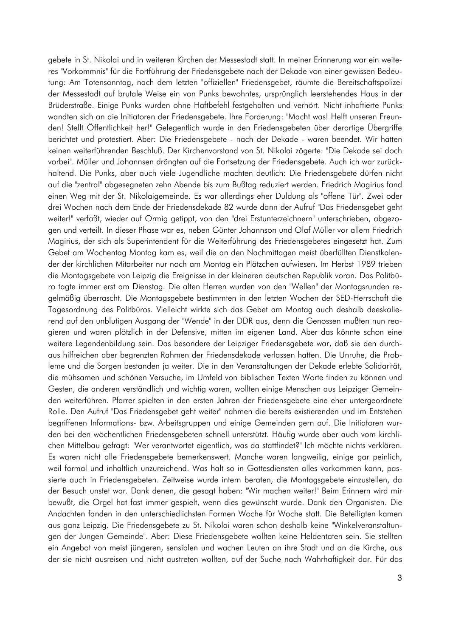gebete in St. Nikolai und in weiteren Kirchen der Messestadt statt. In meiner Erinnerung war ein weiteres "Vorkommnis" für die Fortführung der Friedensgebete nach der Dekade von einer gewissen Bedeutung: Am Totensonntag, nach dem letzten "offiziellen" Friedensgebet, räumte die Bereitschaftspolizei der Messestadt auf brutale Weise ein von Punks bewohntes, ursprünglich leerstehendes Haus in der Brüderstraße. Einige Punks wurden ohne Haftbefehl festgehalten und verhört. Nicht inhaftierte Punks wandten sich an die Initiatoren der Friedensgebete. Ihre Forderung: "Macht was! Helft unseren Freunden! Stellt Öffentlichkeit her!" Gelegentlich wurde in den Friedensgebeten über derartige Übergriffe berichtet und protestiert. Aber: Die Friedensgebete - nach der Dekade - waren beendet. Wir hatten keinen weiterführenden Beschluß. Der Kirchenvorstand von St. Nikolai zögerte: "Die Dekade sei doch vorbei". Müller und Johannsen drängten auf die Fortsetzung der Friedensgebete. Auch ich war zurückhaltend. Die Punks, aber auch viele Jugendliche machten deutlich: Die Friedensgebete dürfen nicht auf die "zentral" abgesegneten zehn Abende bis zum Bußtag reduziert werden. Friedrich Magirius fand einen Weg mit der St. Nikolaigemeinde. Es war allerdings eher Duldung als "offene Tür". Zwei oder drei Wochen nach dem Ende der Friedensdekade 82 wurde dann der Aufruf "Das Friedensgebet geht weiter!" verfaßt, wieder auf Ormig getippt, von den "drei Erstunterzeichnern" unterschrieben, abgezogen und verteilt. In dieser Phase war es, neben Günter Johannson und Olaf Müller vor allem Friedrich Magirius, der sich als Superintendent für die Weiterführung des Friedensgebetes eingesetzt hat. Zum Gebet am Wochentag Montag kam es, weil die an den Nachmittagen meist überfüllten Dienstkalender der kirchlichen Mitarbeiter nur noch am Montag ein Plätzchen aufwiesen. Im Herbst 1989 trieben die Montagsgebete von Leipzig die Ereignisse in der kleineren deutschen Republik voran. Das Politbüro tagte immer erst am Dienstag. Die alten Herren wurden von den "Wellen" der Montagsrunden regelmäßig überrascht. Die Montagsgebete bestimmten in den letzten Wochen der SED-Herrschaft die Tagesordnung des Politbüros. Vielleicht wirkte sich das Gebet am Montag auch deshalb deeskalierend auf den unblutigen Ausgang der "Wende" in der DDR aus, denn die Genossen mußten nun reagieren und waren plötzlich in der Defensive, mitten im eigenen Land. Aber das könnte schon eine weitere Legendenbildung sein. Das besondere der Leipziger Friedensgebete war, daß sie den durchaus hilfreichen aber begrenzten Rahmen der Friedensdekade verlassen hatten. Die Unruhe, die Probleme und die Sorgen bestanden ja weiter. Die in den Veranstaltungen der Dekade erlebte Solidarität, die mühsamen und schönen Versuche, im Umfeld von biblischen Texten Worte finden zu können und Gesten, die anderen verständlich und wichtig waren, wollten einige Menschen aus Leipziger Gemeinden weiterführen. Pfarrer spielten in den ersten Jahren der Friedensgebete eine eher untergeordnete Rolle. Den Aufruf "Das Friedensgebet geht weiter" nahmen die bereits existierenden und im Entstehen begriffenen Informations- bzw. Arbeitsgruppen und einige Gemeinden gern auf. Die Initiatoren wurden bei den wöchentlichen Friedensgebeten schnell unterstützt. Häufig wurde aber auch vom kirchlichen Mittelbau gefragt: "Wer verantwortet eigentlich, was da stattfindet?" Ich möchte nichts verklären. Es waren nicht alle Friedensgebete bemerkenswert. Manche waren langweilig, einige gar peinlich, weil formal und inhaltlich unzureichend. Was halt so in Gottesdiensten alles vorkommen kann, passierte auch in Friedensgebeten. Zeitweise wurde intern beraten, die Montagsgebete einzustellen, da der Besuch unstet war. Dank denen, die gesagt haben: "Wir machen weiter!" Beim Erinnern wird mir bewußt, die Orgel hat fast immer gespielt, wenn dies gewünscht wurde. Dank den Organisten. Die Andachten fanden in den unterschiedlichsten Formen Woche für Woche statt. Die Beteiligten kamen aus ganz Leipzig. Die Friedensgebete zu St. Nikolai waren schon deshalb keine "Winkelveranstaltungen der Jungen Gemeinde". Aber: Diese Friedensgebete wollten keine Heldentaten sein. Sie stellten ein Angebot von meist jüngeren, sensiblen und wachen Leuten an ihre Stadt und an die Kirche, aus der sie nicht ausreisen und nicht austreten wollten, auf der Suche nach Wahrhaftigkeit dar. Für das